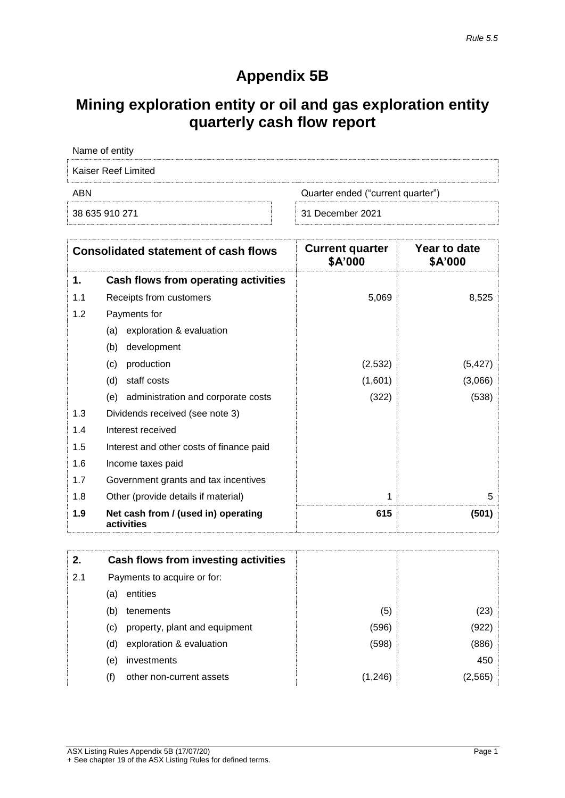## **Appendix 5B**

## **Mining exploration entity or oil and gas exploration entity quarterly cash flow report**

| Name of entity      |                                   |
|---------------------|-----------------------------------|
| Kaiser Reef Limited |                                   |
| ABN                 | Quarter ended ("current quarter") |
| 38 635 910 271      | 31 December 2021                  |

| <b>Consolidated statement of cash flows</b> |                                                   | <b>Current quarter</b><br>\$A'000 | Year to date<br>\$A'000 |
|---------------------------------------------|---------------------------------------------------|-----------------------------------|-------------------------|
| 1.                                          | Cash flows from operating activities              |                                   |                         |
| 1.1                                         | Receipts from customers                           | 5,069                             | 8,525                   |
| 1.2                                         | Payments for                                      |                                   |                         |
|                                             | exploration & evaluation<br>(a)                   |                                   |                         |
|                                             | development<br>(b)                                |                                   |                         |
|                                             | production<br>(c)                                 | (2,532)                           | (5, 427)                |
|                                             | (d)<br>staff costs                                | (1,601)                           | (3,066)                 |
|                                             | administration and corporate costs<br>(e)         | (322)                             | (538)                   |
| 1.3                                         | Dividends received (see note 3)                   |                                   |                         |
| 1.4                                         | Interest received                                 |                                   |                         |
| 1.5                                         | Interest and other costs of finance paid          |                                   |                         |
| 1.6                                         | Income taxes paid                                 |                                   |                         |
| 1.7                                         | Government grants and tax incentives              |                                   |                         |
| 1.8                                         | Other (provide details if material)               | 1                                 | 5                       |
| 1.9                                         | Net cash from / (used in) operating<br>activities | 615                               | (501)                   |

| 2.  | Cash flows from investing activities |         |        |
|-----|--------------------------------------|---------|--------|
| 2.1 | Payments to acquire or for:          |         |        |
|     | entities<br>(a)                      |         |        |
|     | (b)<br>tenements                     | (5)     | (23)   |
|     | property, plant and equipment<br>(C) | (596)   | (922)  |
|     | exploration & evaluation<br>(d)      | (598)   | (886)  |
|     | investments<br>(e)                   |         | 450    |
|     | other non-current assets<br>(f)      | (1,246) | (2.565 |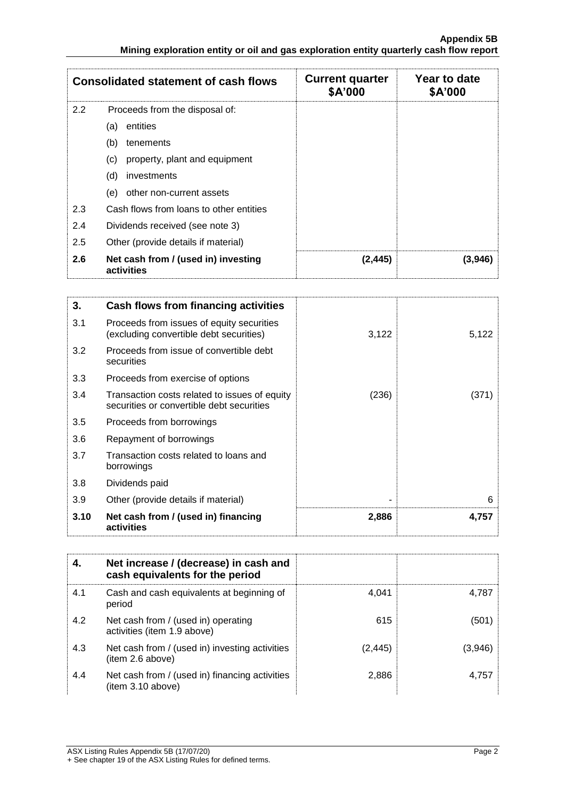|               | <b>Consolidated statement of cash flows</b>       | <b>Current quarter</b><br>\$A'000 | Year to date<br>\$A'000 |
|---------------|---------------------------------------------------|-----------------------------------|-------------------------|
| $2.2^{\circ}$ | Proceeds from the disposal of:                    |                                   |                         |
|               | entities<br>(a)                                   |                                   |                         |
|               | (b)<br>tenements                                  |                                   |                         |
|               | property, plant and equipment<br>(c)              |                                   |                         |
|               | (d)<br>investments                                |                                   |                         |
|               | other non-current assets<br>(e)                   |                                   |                         |
| 2.3           | Cash flows from loans to other entities           |                                   |                         |
| 2.4           | Dividends received (see note 3)                   |                                   |                         |
| 2.5           | Other (provide details if material)               |                                   |                         |
| 2.6           | Net cash from / (used in) investing<br>activities | (2, 445)                          | (3.946)                 |

| 3.   | Cash flows from financing activities                                                       |       |       |
|------|--------------------------------------------------------------------------------------------|-------|-------|
| 3.1  | Proceeds from issues of equity securities<br>(excluding convertible debt securities)       | 3,122 | 5,122 |
| 3.2  | Proceeds from issue of convertible debt<br>securities                                      |       |       |
| 3.3  | Proceeds from exercise of options                                                          |       |       |
| 3.4  | Transaction costs related to issues of equity<br>securities or convertible debt securities | (236) | (371) |
| 3.5  | Proceeds from borrowings                                                                   |       |       |
| 3.6  | Repayment of borrowings                                                                    |       |       |
| 3.7  | Transaction costs related to loans and<br>borrowings                                       |       |       |
| 3.8  | Dividends paid                                                                             |       |       |
| 3.9  | Other (provide details if material)                                                        |       | 6     |
| 3.10 | Net cash from / (used in) financing<br>activities                                          | 2,886 | 4,757 |

|     | Net increase / (decrease) in cash and<br>cash equivalents for the period |          |         |
|-----|--------------------------------------------------------------------------|----------|---------|
| 4.1 | Cash and cash equivalents at beginning of<br>period                      | 4.041    | 4.787   |
| 4.2 | Net cash from / (used in) operating<br>activities (item 1.9 above)       | 615      | (501)   |
| 4.3 | Net cash from / (used in) investing activities<br>(item 2.6 above)       | (2, 445) | (3.946) |
| 4.4 | Net cash from / (used in) financing activities<br>item 3.10 above)       | 2,886    | 4.757   |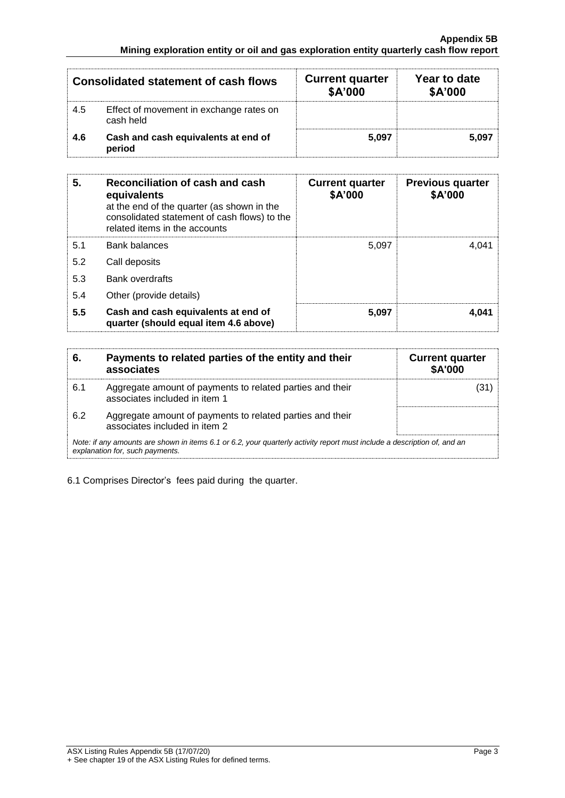|     | <b>Consolidated statement of cash flows</b>          | <b>Current quarter</b><br>\$A'000 | Year to date<br>\$A'000 |
|-----|------------------------------------------------------|-----------------------------------|-------------------------|
| 4.5 | Effect of movement in exchange rates on<br>cash held |                                   |                         |
| 4.6 | Cash and cash equivalents at end of<br>period        | 5.097                             | 5.097                   |

| 5.  | Reconciliation of cash and cash<br>equivalents<br>at the end of the quarter (as shown in the<br>consolidated statement of cash flows) to the<br>related items in the accounts | <b>Current quarter</b><br>\$A'000 | <b>Previous quarter</b><br>\$A'000 |
|-----|-------------------------------------------------------------------------------------------------------------------------------------------------------------------------------|-----------------------------------|------------------------------------|
| 5.1 | <b>Bank balances</b>                                                                                                                                                          | 5.097                             | 4.041                              |
| 5.2 | Call deposits                                                                                                                                                                 |                                   |                                    |
| 5.3 | <b>Bank overdrafts</b>                                                                                                                                                        |                                   |                                    |
| 5.4 | Other (provide details)                                                                                                                                                       |                                   |                                    |
| 5.5 | Cash and cash equivalents at end of<br>quarter (should equal item 4.6 above)                                                                                                  | 5,097                             | 4.041                              |

| 6.  | Payments to related parties of the entity and their<br>associates                                                                                           | <b>Current quarter</b><br><b>\$A'000</b> |
|-----|-------------------------------------------------------------------------------------------------------------------------------------------------------------|------------------------------------------|
| 6.1 | Aggregate amount of payments to related parties and their<br>associates included in item 1                                                                  |                                          |
| 6.2 | Aggregate amount of payments to related parties and their<br>associates included in item 2                                                                  |                                          |
|     | Note: if any amounts are shown in items 6.1 or 6.2, your quarterly activity report must include a description of, and an<br>explanation for, such payments. |                                          |

6.1 Comprises Director's fees paid during the quarter.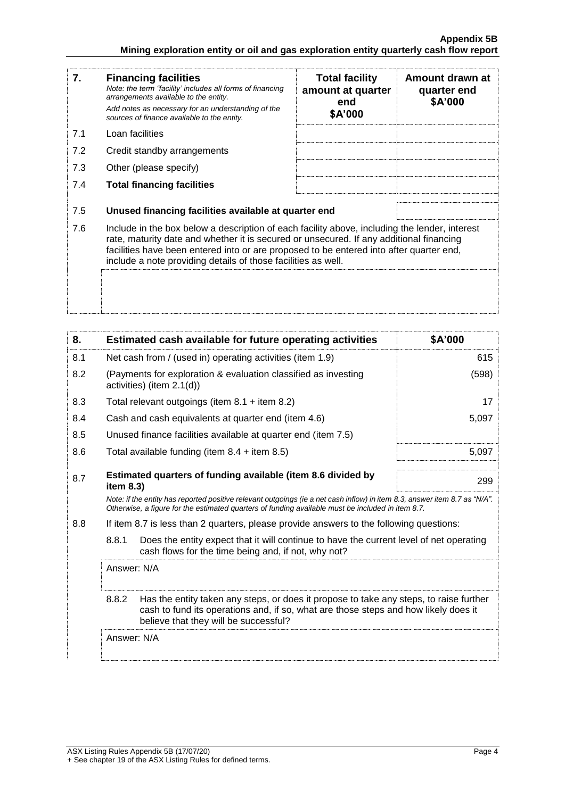| 7.  | <b>Financing facilities</b><br>Note: the term "facility' includes all forms of financing<br>arrangements available to the entity.<br>Add notes as necessary for an understanding of the<br>sources of finance available to the entity.                                                                                                               | <b>Total facility</b><br>amount at quarter<br>end<br>\$A'000 | Amount drawn at<br>quarter end<br>\$A'000 |
|-----|------------------------------------------------------------------------------------------------------------------------------------------------------------------------------------------------------------------------------------------------------------------------------------------------------------------------------------------------------|--------------------------------------------------------------|-------------------------------------------|
| 7.1 | Loan facilities                                                                                                                                                                                                                                                                                                                                      |                                                              |                                           |
| 7.2 | Credit standby arrangements                                                                                                                                                                                                                                                                                                                          |                                                              |                                           |
| 7.3 | Other (please specify)                                                                                                                                                                                                                                                                                                                               |                                                              |                                           |
| 7.4 | <b>Total financing facilities</b>                                                                                                                                                                                                                                                                                                                    |                                                              |                                           |
| 7.5 | Unused financing facilities available at quarter end                                                                                                                                                                                                                                                                                                 |                                                              |                                           |
| 7.6 | Include in the box below a description of each facility above, including the lender, interest<br>rate, maturity date and whether it is secured or unsecured. If any additional financing<br>facilities have been entered into or are proposed to be entered into after quarter end,<br>include a note providing details of those facilities as well. |                                                              |                                           |
|     |                                                                                                                                                                                                                                                                                                                                                      |                                                              |                                           |

| 8.  | Estimated cash available for future operating activities                                                                                                                                                                        | \$A'000 |
|-----|---------------------------------------------------------------------------------------------------------------------------------------------------------------------------------------------------------------------------------|---------|
| 8.1 | Net cash from / (used in) operating activities (item 1.9)                                                                                                                                                                       | 615     |
| 8.2 | (Payments for exploration & evaluation classified as investing<br>activities) (item 2.1(d))                                                                                                                                     | (598)   |
| 8.3 | Total relevant outgoings (item $8.1 +$ item $8.2$ )                                                                                                                                                                             | 17      |
| 8.4 | Cash and cash equivalents at quarter end (item 4.6)                                                                                                                                                                             | 5,097   |
| 8.5 | Unused finance facilities available at quarter end (item 7.5)                                                                                                                                                                   |         |
| 8.6 | Total available funding (item $8.4 +$ item $8.5$ )                                                                                                                                                                              | 5,097   |
| 8.7 | Estimated quarters of funding available (item 8.6 divided by<br>item 8.3)                                                                                                                                                       | 299     |
|     | Note: if the entity has reported positive relevant outgoings (ie a net cash inflow) in item 8.3, answer item 8.7 as "N/A".<br>Otherwise, a figure for the estimated quarters of funding available must be included in item 8.7. |         |
| 8.8 | If item 8.7 is less than 2 quarters, please provide answers to the following questions:                                                                                                                                         |         |
|     | 8.8.1<br>Does the entity expect that it will continue to have the current level of net operating<br>cash flows for the time being and, if not, why not?                                                                         |         |
|     | Answer: N/A                                                                                                                                                                                                                     |         |
|     | 8.8.2<br>Has the entity taken any steps, or does it propose to take any steps, to raise further<br>cash to fund its operations and, if so, what are those steps and how likely does it<br>believe that they will be successful? |         |
|     | Answer: N/A                                                                                                                                                                                                                     |         |
|     |                                                                                                                                                                                                                                 |         |